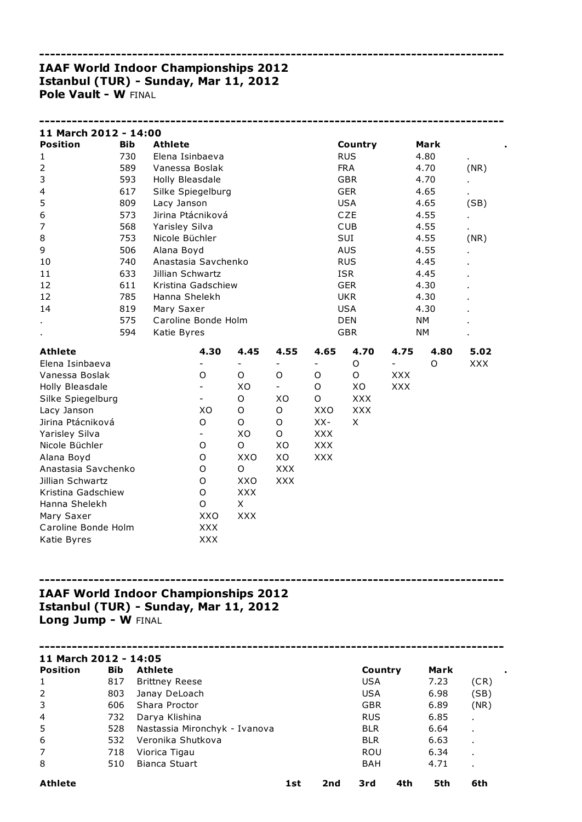## ------------------------------------------------------------------------------------- IAAF World Indoor Championships 2012 Istanbul (TUR) - Sunday, Mar 11, 2012 Pole Vault - W FINAL

| 11 March 2012 - 14:00   |            |                     |                          |             |             |            |             |               |           |            |
|-------------------------|------------|---------------------|--------------------------|-------------|-------------|------------|-------------|---------------|-----------|------------|
| <b>Position</b>         | <b>Bib</b> | <b>Athlete</b>      |                          |             |             |            | Country     |               | Mark      |            |
| $\mathbf{1}$            | 730        | Elena Isinbaeva     |                          |             |             |            | <b>RUS</b>  |               | 4.80      |            |
| $\overline{2}$          | 589        | Vanessa Boslak      |                          |             |             |            | <b>FRA</b>  |               | 4.70      | (NR)       |
| 3                       | 593        | Holly Bleasdale     |                          |             |             |            | <b>GBR</b>  |               | 4.70      |            |
| $\overline{\mathbf{4}}$ | 617        | Silke Spiegelburg   |                          |             |             |            | <b>GER</b>  |               | 4.65      |            |
| 5                       | 809        | Lacy Janson         |                          |             |             |            | <b>USA</b>  |               | 4.65      | (SB)       |
| 6                       | 573        | Jirina Ptácniková   |                          |             |             |            | CZE         |               | 4.55      |            |
| 7                       | 568        | Yarisley Silva      |                          |             |             |            | <b>CUB</b>  |               | 4.55      |            |
| 8                       | 753        | Nicole Büchler      |                          |             |             |            | SUI         |               | 4.55      | (NR)       |
| 9                       | 506        | Alana Boyd          |                          |             |             |            | <b>AUS</b>  |               | 4.55      |            |
| 10                      | 740        | Anastasia Savchenko |                          |             |             |            | <b>RUS</b>  |               | 4.45      |            |
| 11                      | 633        | Jillian Schwartz    |                          |             |             |            | <b>ISR</b>  |               | 4.45      |            |
| 12                      | 611        | Kristina Gadschiew  |                          |             |             |            | <b>GER</b>  |               | 4.30      |            |
| 12                      | 785        | Hanna Shelekh       |                          |             |             |            | <b>UKR</b>  |               | 4.30      |            |
| 14                      | 819        | Mary Saxer          |                          |             |             |            | <b>USA</b>  |               | 4.30      |            |
|                         | 575        | Caroline Bonde Holm |                          |             |             |            | <b>DEN</b>  |               | <b>NM</b> |            |
|                         | 594        | Katie Byres         |                          |             |             |            | <b>GBR</b>  |               | <b>NM</b> |            |
| <b>Athlete</b>          |            |                     | 4.30                     | 4.45        | 4.55        | 4.65       | 4.70        | 4.75          | 4.80      | 5.02       |
| Elena Isinbaeva         |            |                     |                          |             |             |            | $\mathsf O$ | $\frac{1}{2}$ | O         | <b>XXX</b> |
| Vanessa Boslak          |            |                     | O                        | O           | O           | O          | O           | <b>XXX</b>    |           |            |
| Holly Bleasdale         |            |                     | $\overline{\phantom{0}}$ | XO          |             | O          | XO          | <b>XXX</b>    |           |            |
| Silke Spiegelburg       |            |                     |                          | O           | XO          | O          | <b>XXX</b>  |               |           |            |
| Lacy Janson             |            |                     | XO                       | $\mathsf O$ | O           | XXO        | <b>XXX</b>  |               |           |            |
| Jirina Ptácniková       |            |                     | $\mathsf O$              | O           | $\mathsf O$ | $XX-$      | X           |               |           |            |
| Yarisley Silva          |            |                     |                          | XO          | $\mathsf O$ | <b>XXX</b> |             |               |           |            |
| Nicole Büchler          |            |                     | O                        | O           | XO          | <b>XXX</b> |             |               |           |            |
| Alana Boyd              |            |                     | O                        | XXO         | XO          | <b>XXX</b> |             |               |           |            |
| Anastasia Savchenko     |            |                     | $\mathsf O$              | O           | <b>XXX</b>  |            |             |               |           |            |
| Jillian Schwartz        |            |                     | O                        | <b>XXO</b>  | <b>XXX</b>  |            |             |               |           |            |
| Kristina Gadschiew      |            |                     | $\circ$                  | <b>XXX</b>  |             |            |             |               |           |            |
| Hanna Shelekh           |            |                     | O                        | X           |             |            |             |               |           |            |
| Mary Saxer              |            |                     | XXO                      | <b>XXX</b>  |             |            |             |               |           |            |
| Caroline Bonde Holm     |            |                     | <b>XXX</b>               |             |             |            |             |               |           |            |
| Katie Byres             |            |                     | <b>XXX</b>               |             |             |            |             |               |           |            |

# IAAF World Indoor Championships 2012 Istanbul (TUR) - Sunday, Mar 11, 2012 Long Jump - W FINAL

| 11 March 2012 - 14:05 |            |                               |     |     |            |      |                |
|-----------------------|------------|-------------------------------|-----|-----|------------|------|----------------|
| <b>Position</b>       | <b>Bib</b> | <b>Athlete</b>                |     |     | Country    | Mark | ٠              |
| 1                     | 817        | <b>Brittney Reese</b>         |     |     | <b>USA</b> | 7.23 | (CR)           |
| 2                     | 803        | Janay DeLoach                 |     |     | <b>USA</b> | 6.98 | (SB)           |
| 3                     | 606        | Shara Proctor                 |     |     | <b>GBR</b> | 6.89 | (NR)           |
| $\overline{4}$        | 732        | Darya Klishina                |     |     | <b>RUS</b> | 6.85 |                |
| 5                     | 528        | Nastassia Mironchyk - Ivanova |     |     | <b>BLR</b> | 6.64 | $\blacksquare$ |
| 6                     | 532        | Veronika Shutkova             |     |     | <b>BLR</b> | 6.63 | $\blacksquare$ |
| 7                     | 718        | Viorica Tigau                 |     |     | <b>ROU</b> | 6.34 | $\blacksquare$ |
| 8                     | 510        | Bianca Stuart                 |     |     | <b>BAH</b> | 4.71 |                |
| <b>Athlete</b>        |            |                               | 1st | 2nd | 4th<br>3rd | 5th  | 6th            |

-------------------------------------------------------------------------------------

-------------------------------------------------------------------------------------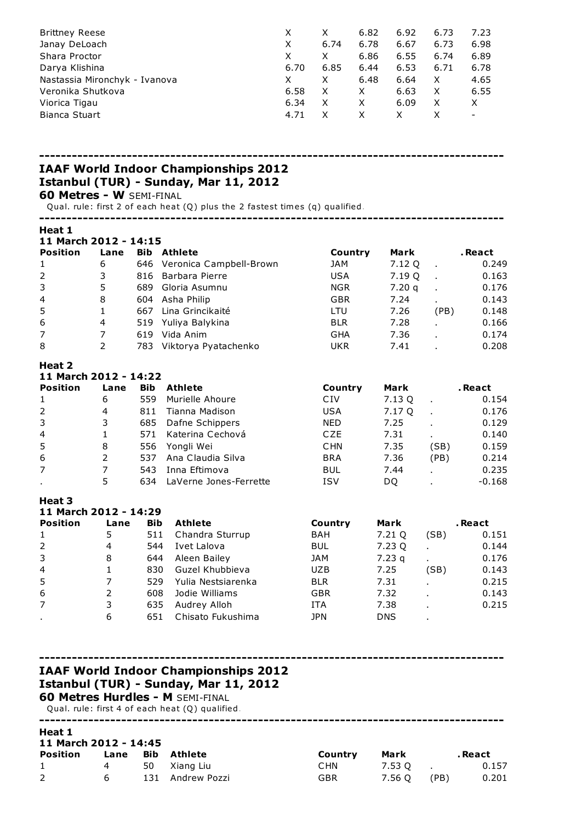| <b>Brittney Reese</b>         |      |      | 6.82 | 6.92 | 6.73 | 7.23 |
|-------------------------------|------|------|------|------|------|------|
| Janay DeLoach                 | X    | 6.74 | 6.78 | 6.67 | 6.73 | 6.98 |
| Shara Proctor                 | X    | X    | 6.86 | 6.55 | 6.74 | 6.89 |
| Darya Klishina                | 6.70 | 6.85 | 6.44 | 6.53 | 6.71 | 6.78 |
| Nastassia Mironchyk - Ivanova |      |      | 6.48 | 6.64 | X    | 4.65 |
| Veronika Shutkova             | 6.58 | X    | X    | 6.63 | X    | 6.55 |
| Viorica Tigau                 | 6.34 |      |      | 6.09 | X    | X    |
| Bianca Stuart                 | 4.71 |      |      |      |      | -    |

#### -------------------------------------------------------------------------------------

## IAAF World Indoor Championships 2012 Istanbul (TUR) - Sunday, Mar 11, 2012

### 60 Metres - W SEMI-FINAL

Qual. rule: first 2 of each heat (Q) plus the 2 fastest times (q) qualified.

| Heat 1                |      |            |                         |            |        |                |          |
|-----------------------|------|------------|-------------------------|------------|--------|----------------|----------|
| 11 March 2012 - 14:15 |      |            |                         |            |        |                |          |
| <b>Position</b>       | Lane | Bib        | <b>Athlete</b>          | Country    | Mark   |                | . React  |
| 1                     | 6    | 646        | Veronica Campbell-Brown | JAM        | 7.12 Q | $\blacksquare$ | 0.249    |
| $\overline{2}$        | 3    | 816        | Barbara Pierre          | USA.       | 7.19 Q | $\mathbf{r}$   | 0.163    |
| 3                     | 5    | 689        | Gloria Asumnu           | <b>NGR</b> | 7.20q  |                | 0.176    |
| 4                     | 8    | 604        | Asha Philip             | <b>GBR</b> | 7.24   | $\blacksquare$ | 0.143    |
| 5                     | 1    | 667        | Lina Grincikaité        | <b>LTU</b> | 7.26   | (PB)           | 0.148    |
| 6                     | 4    | 519        | Yuliya Balykina         | <b>BLR</b> | 7.28   |                | 0.166    |
| 7                     | 7    | 619        | Vida Anim               | <b>GHA</b> | 7.36   |                | 0.174    |
| 8                     | 2    | 783        | Viktorya Pyatachenko    | <b>UKR</b> | 7.41   |                | 0.208    |
| Heat 2                |      |            |                         |            |        |                |          |
| 11 March 2012 - 14:22 |      |            |                         |            |        |                |          |
| <b>Position</b>       | Lane | <b>Bib</b> | <b>Athlete</b>          | Country    | Mark   |                | . React  |
| 1                     | 6    | 559        | Murielle Ahoure         | <b>CIV</b> | 7.13 Q | $\blacksquare$ | 0.154    |
| 2                     | 4    | 811        | Tianna Madison          | <b>USA</b> | 7.17 Q | ÷.             | 0.176    |
| 3                     | 3    | 685        | Dafne Schippers         | <b>NED</b> | 7.25   | $\mathbf{r}$   | 0.129    |
| 4                     | 1    | 571        | Katerina Cechová        | <b>CZE</b> | 7.31   |                | 0.140    |
| 5                     | 8    | 556        | Yongli Wei              | <b>CHN</b> | 7.35   | (SB)           | 0.159    |
| 6                     | 2    | 537        | Ana Claudia Silva       | <b>BRA</b> | 7.36   | (PB)           | 0.214    |
| 7                     | 7    | 543        | Inna Eftimova           | <b>BUL</b> | 7.44   | $\mathbf{r}$   | 0.235    |
|                       | 5    | 634        | LaVerne Jones-Ferrette  | <b>ISV</b> | DQ     |                | $-0.168$ |

#### Heat 3 11 March 2012 - 14:29

| 11 PRICH EVIL   |      |            |                    |            |            |      |         |
|-----------------|------|------------|--------------------|------------|------------|------|---------|
| <b>Position</b> | Lane | <b>Bib</b> | <b>Athlete</b>     | Country    | Mark       |      | . React |
| 1               | 5    | 511        | Chandra Sturrup    | <b>BAH</b> | 7.21 Q     | (SB) | 0.151   |
| 2               | 4    | 544        | Ivet Lalova        | <b>BUL</b> | 7.23 Q     |      | 0.144   |
| 3               | 8    | 644        | Aleen Bailey       | <b>JAM</b> | 7.23 g     |      | 0.176   |
| $\overline{4}$  |      | 830        | Guzel Khubbieva    | <b>UZB</b> | 7.25       | (SB) | 0.143   |
| -5              |      | 529        | Yulia Nestsiarenka | <b>BLR</b> | 7.31       |      | 0.215   |
| 6               | 2    | 608        | Jodie Williams     | <b>GBR</b> | 7.32       |      | 0.143   |
| 7               | 3    | 635        | Audrey Alloh       | <b>ITA</b> | 7.38       |      | 0.215   |
| $\blacksquare$  | 6    | 651        | Chisato Fukushima  | JPN        | <b>DNS</b> |      |         |

#### -------------------------------------------------------------------------------------

### IAAF World Indoor Championships 2012 Istanbul (TUR) - Sunday, Mar 11, 2012

60 Metres Hurdles - M SEMI-FINAL

Qual. rule: first 4 of each heat (Q) qualified.

#### ------------------------------------------------------------------------------------- Heat 1 11 March 2012 - 14:45

| <b>Position</b> |    | Lane Bib Athlete | Country    | Mark        | . React |
|-----------------|----|------------------|------------|-------------|---------|
|                 |    |                  | CHN.       | $7.53Q$ .   | 0.157   |
|                 | 65 | 131 Andrew Pozzi | <b>GBR</b> | 7.56 O (PB) | 0.201   |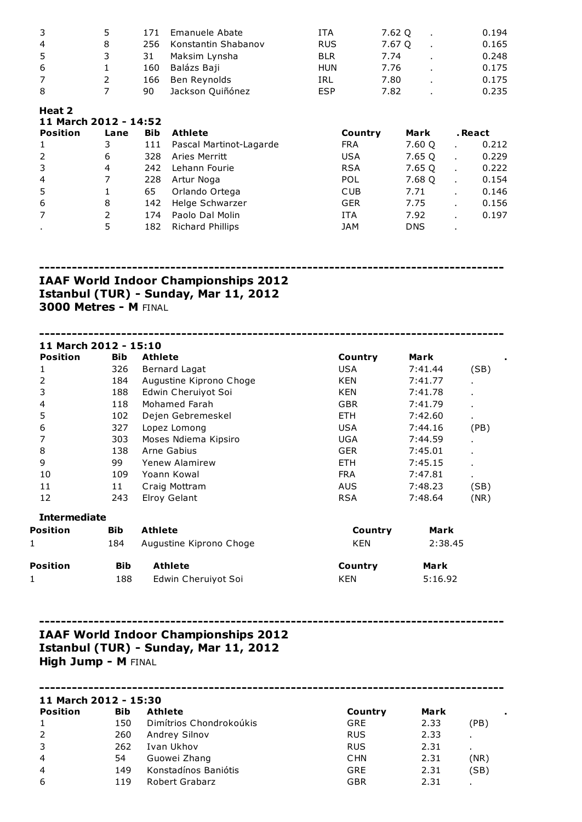| 3 | 5 | 171 | Emanuele Abate      | ITA        | 7.62 O | 0.194 |
|---|---|-----|---------------------|------------|--------|-------|
| 4 | 8 | 256 | Konstantin Shabanov | <b>RUS</b> | 7.67 O | 0.165 |
| 5 |   | 31  | Maksim Lynsha       | <b>BLR</b> | 7.74   | 0.248 |
| 6 |   | 160 | Balázs Baji         | HUN        | 7.76   | 0.175 |
| 7 |   | 166 | Ben Reynolds        | IRL        | 7.80   | 0.175 |
| 8 |   | 90  | Jackson Quiñónez    | <b>ESP</b> | 7.82   | 0.235 |

## Heat 2

| 11 March 2012 - 14:52 |      |     |                         |            |            |                |         |
|-----------------------|------|-----|-------------------------|------------|------------|----------------|---------|
| <b>Position</b>       | Lane | Bib | <b>Athlete</b>          | Country    | Mark       |                | . React |
| 1                     |      | 111 | Pascal Martinot-Lagarde | <b>FRA</b> | 7.60 Q     |                | 0.212   |
| 2                     | 6    | 328 | Aries Merritt           | <b>USA</b> | 7.65 Q     |                | 0.229   |
| 3                     | 4    | 242 | Lehann Fourie           | <b>RSA</b> | 7.65 Q     | $\blacksquare$ | 0.222   |
| $\overline{4}$        |      | 228 | Artur Noga              | <b>POL</b> | 7.68 Q     |                | 0.154   |
| -5                    |      | 65  | Orlando Ortega          | <b>CUB</b> | 7.71       |                | 0.146   |
| 6                     | 8    | 142 | Helge Schwarzer         | <b>GER</b> | 7.75       |                | 0.156   |
| $\overline{7}$        | 2    | 174 | Paolo Dal Molin         | <b>ITA</b> | 7.92       |                | 0.197   |
|                       | 5    | 182 | <b>Richard Phillips</b> | <b>JAM</b> | <b>DNS</b> |                |         |
|                       |      |     |                         |            |            |                |         |

-------------------------------------------------------------------------------------

## IAAF World Indoor Championships 2012 Istanbul (TUR) - Sunday, Mar 11, 2012 3000 Metres - M FINAL

------------------------------------------------------------------------------------- 11 March 2012 - 15:10 Position Bib Athlete **Country** Mark . 1 326 Bernard Lagat CSB USA 7:41.44 (SB) 2 184 Augustine Kiprono Choge KEN 7:41.77 . 3 188 Edwin Cheruiyot Soi KEN 7:41.78 . 4 118 Mohamed Farah GBR 7:41.79 . 5 102 Dejen Gebremeskel ETH 7:42.60 6 327 Lopez Lomong USA 7:44.16 (PB) 7 303 Moses Ndiema Kipsiro UGA 7:44.59 . 8 138 Arne Gabius Ger Geber 138 Arne Gabius Communication CER 3:45.01 . 9 99 Yenew Alamirew ETH 7:45.15 . 10 109 Yoann Kowal 10 FRA 7:47.81 11 11 Craig Mottram 11 AUS 7:48.23 (SB) 12 243 Elroy Gelant RSA 7:48.64 (NR) Intermediate Position Bib Athlete Country Mark 1 184 Augustine Kiprono Choge 184 KEN 2:38.45 Position Bib Athlete Country Mark 1 188 Edwin Cheruiyot Soi 188 KEN 5:16.92

## ------------------------------------------------------------------------------------- IAAF World Indoor Championships 2012 Istanbul (TUR) - Sunday, Mar 11, 2012 High Jump - M FINAL

| 11 March 2012 - 15:30 |            |                         |            |      |      |  |
|-----------------------|------------|-------------------------|------------|------|------|--|
| <b>Position</b>       | <b>Bib</b> | <b>Athlete</b>          | Country    | Mark |      |  |
| $\mathbf{1}$          | 150        | Dimítrios Chondrokoúkis | <b>GRE</b> | 2.33 | (PB) |  |
| 2                     | 260        | Andrey Silnov           | <b>RUS</b> | 2.33 |      |  |
| 3                     | 262        | Ivan Ukhov              | <b>RUS</b> | 2.31 |      |  |
| $\overline{4}$        | 54         | Guowei Zhang            | <b>CHN</b> | 2.31 | (NR) |  |
| $\overline{4}$        | 149        | Konstadínos Baniótis    | GRE        | 2.31 | (SB) |  |
| 6                     | 119        | Robert Grabarz          | GBR        | 2.31 |      |  |
|                       |            |                         |            |      |      |  |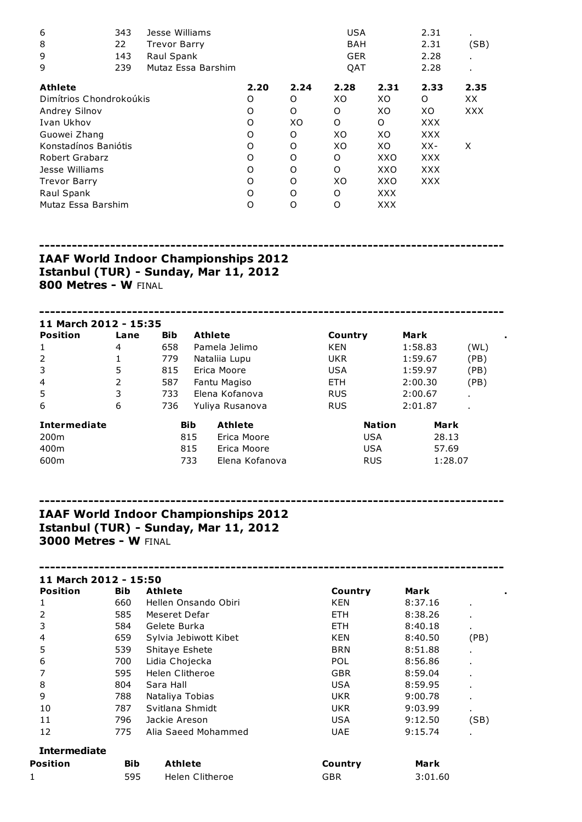| 6                       | 343 | Jesse Williams      |      |      | <b>USA</b> |            | 2.31       | ٠          |
|-------------------------|-----|---------------------|------|------|------------|------------|------------|------------|
| 8                       | 22  | <b>Trevor Barry</b> |      |      | <b>BAH</b> |            | 2.31       | (SB)       |
| 9                       | 143 | Raul Spank          |      |      | <b>GER</b> |            | 2.28       |            |
| 9                       | 239 | Mutaz Essa Barshim  |      |      | <b>OAT</b> |            | 2.28       |            |
| <b>Athlete</b>          |     |                     | 2.20 | 2.24 | 2.28       | 2.31       | 2.33       | 2.35       |
| Dimítrios Chondrokoúkis |     |                     | O    | O    | XO         | XO         | O          | XX.        |
| Andrey Silnov           |     |                     | O    | O    | O          | XO         | XO         | <b>XXX</b> |
| Ivan Ukhov              |     |                     | O    | XO   | O          | O          | <b>XXX</b> |            |
| Guowei Zhang            |     |                     | O    | O    | XO         | XO         | <b>XXX</b> |            |
| Konstadínos Baniótis    |     |                     | O    | O    | XO         | XO         | $XX-$      | X          |
| <b>Robert Grabarz</b>   |     |                     | O    | O    | O          | XXO        | <b>XXX</b> |            |
| Jesse Williams          |     |                     | O    | O    | O          | XXO        | <b>XXX</b> |            |
| <b>Trevor Barry</b>     |     |                     | O    | O    | XО         | XXO        | <b>XXX</b> |            |
| Raul Spank              |     |                     | O    | O    | O          | <b>XXX</b> |            |            |
| Mutaz Essa Barshim      |     |                     | O    | O    | O          | <b>XXX</b> |            |            |

------------------------------------------------------------------------------------- IAAF World Indoor Championships 2012 Istanbul (TUR) - Sunday, Mar 11, 2012

800 Metres - W FINAL

| 11 March 2012 - 15:35 |      |            |            |                 |               |         |             |      |
|-----------------------|------|------------|------------|-----------------|---------------|---------|-------------|------|
| <b>Position</b>       | Lane | <b>Bib</b> | Athlete    |                 | Country       | Mark    |             | ٠    |
| 1                     | 4    | 658        |            | Pamela Jelimo   | <b>KEN</b>    | 1:58.83 |             | (WL) |
| 2                     | 1    | 779        |            | Nataliia Lupu   | <b>UKR</b>    | 1:59.67 |             | (PB) |
| 3                     | 5    | 815        |            | Erica Moore     | <b>USA</b>    | 1:59.97 |             | (PB) |
| $\overline{4}$        | 2    | 587        |            | Fantu Magiso    | ETH.          | 2:00.30 |             | (PB) |
| 5                     | 3    | 733        |            | Elena Kofanova  | <b>RUS</b>    | 2:00.67 | ٠.          |      |
| 6                     | 6    | 736        |            | Yuliya Rusanova | <b>RUS</b>    | 2:01.87 |             |      |
| <b>Intermediate</b>   |      |            | <b>Bib</b> | <b>Athlete</b>  | <b>Nation</b> |         | <b>Mark</b> |      |
| 200 <sub>m</sub>      |      |            | 815        | Erica Moore     | <b>USA</b>    |         | 28.13       |      |
| 400m                  |      |            | 815        | Erica Moore     | <b>USA</b>    |         | 57.69       |      |
| 600m                  |      |            | 733        | Elena Kofanova  | <b>RUS</b>    |         | 1:28.07     |      |

-------------------------------------------------------------------------------------

# IAAF World Indoor Championships 2012 Istanbul (TUR) - Sunday, Mar 11, 2012 3000 Metres - W FINAL

| 11 March 2012 - 15:50 |            |                       |            |         |                |
|-----------------------|------------|-----------------------|------------|---------|----------------|
| <b>Position</b>       | <b>Bib</b> | <b>Athlete</b>        | Country    | Mark    |                |
|                       | 660        | Hellen Onsando Obiri  | KEN        | 8:37.16 | ٠              |
| 2                     | 585        | Meseret Defar         | <b>ETH</b> | 8:38.26 | $\blacksquare$ |
| 3                     | 584        | Gelete Burka          | <b>ETH</b> | 8:40.18 | ٠.             |
| 4                     | 659        | Sylvia Jebiwott Kibet | KEN        | 8:40.50 | (PB)           |
| 5                     | 539        | Shitaye Eshete        | <b>BRN</b> | 8:51.88 |                |
| 6                     | 700        | Lidia Chojecka        | <b>POL</b> | 8:56.86 | $\blacksquare$ |
| 7                     | 595        | Helen Clitheroe       | <b>GBR</b> | 8:59.04 | $\blacksquare$ |
| 8                     | 804        | Sara Hall             | <b>USA</b> | 8:59.95 | ٠.             |
| 9                     | 788        | Nataliya Tobias       | <b>UKR</b> | 9:00.78 | $\blacksquare$ |
| 10                    | 787        | Svitlana Shmidt       | UKR.       | 9:03.99 | ٠.             |
| 11                    | 796        | Jackie Areson         | USA        | 9:12.50 | (SB)           |
| 12                    | 775        | Alia Saeed Mohammed   | <b>UAE</b> | 9:15.74 |                |
| <b>Intermediate</b>   |            |                       |            |         |                |
| Position              | <b>Bib</b> | <b>Athlete</b>        | Country    | Mark    |                |
| 1                     | 595        | Helen Clitheroe       | GBR        | 3:01.60 |                |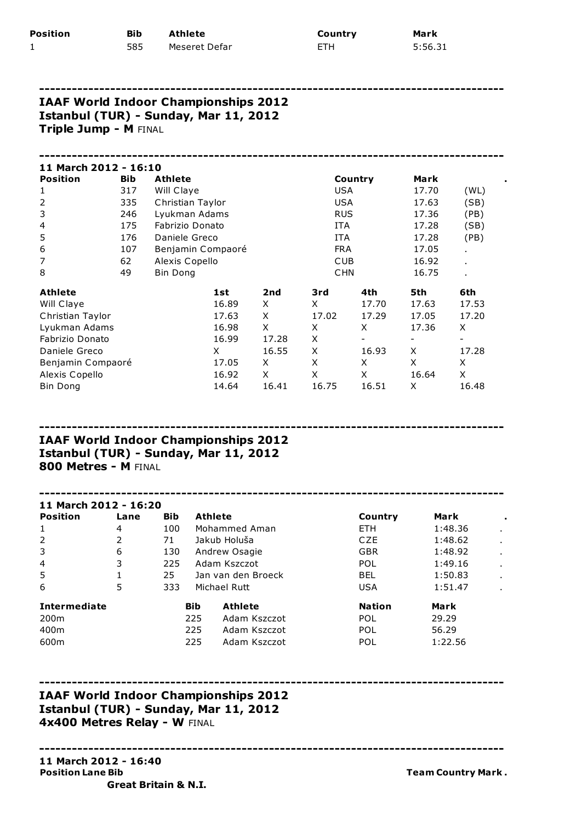| Position | Bib | Athlete       | Country    | Mark    |
|----------|-----|---------------|------------|---------|
| <b>I</b> | 585 | Meseret Defar | <b>ETH</b> | 5:56.31 |

-------------------------------------------------------------------------------------

## IAAF World Indoor Championships 2012 Istanbul (TUR) - Sunday, Mar 11, 2012 Triple Jump - M FINAL

| 11 March 2012 - 16:10 |            |                   |       |       |            |         |       |                |  |
|-----------------------|------------|-------------------|-------|-------|------------|---------|-------|----------------|--|
| <b>Position</b>       | <b>Bib</b> | <b>Athlete</b>    |       |       |            | Country | Mark  |                |  |
| 1                     | 317        | Will Claye        |       |       | <b>USA</b> |         | 17.70 | (WL)           |  |
| 2                     | 335        | Christian Taylor  |       |       | <b>USA</b> |         | 17.63 | (SB)           |  |
| 3                     | 246        | Lyukman Adams     |       |       | <b>RUS</b> |         | 17.36 | (PB)           |  |
| 4                     | 175        | Fabrizio Donato   |       |       | ITA        |         | 17.28 | (SB)           |  |
| 5                     | 176        | Daniele Greco     |       |       | <b>ITA</b> |         | 17.28 | (PB)           |  |
| 6                     | 107        | Benjamin Compaoré |       |       | <b>FRA</b> |         | 17.05 | $\blacksquare$ |  |
| $\overline{7}$        | 62         | Alexis Copello    |       |       | <b>CUB</b> |         | 16.92 | $\blacksquare$ |  |
| 8                     | 49         | Bin Dong          |       |       | <b>CHN</b> |         | 16.75 | $\blacksquare$ |  |
| <b>Athlete</b>        |            |                   | 1st   | 2nd   | 3rd        | 4th     | 5th   | 6th            |  |
| Will Claye            |            |                   | 16.89 | X     | X          | 17.70   | 17.63 | 17.53          |  |
| Christian Taylor      |            |                   | 17.63 | X     | 17.02      | 17.29   | 17.05 | 17.20          |  |
| Lyukman Adams         |            |                   | 16.98 | X     | X          | X       | 17.36 | X              |  |
| Fabrizio Donato       |            |                   | 16.99 | 17.28 | X          |         |       | -              |  |
| Daniele Greco         |            |                   | X.    | 16.55 | X          | 16.93   | X     | 17.28          |  |
| Benjamin Compaoré     |            |                   | 17.05 | X     | X          | X       | X     | X              |  |
| Alexis Copello        |            |                   | 16.92 | X     | X          | X       | 16.64 | X              |  |
| <b>Bin Dong</b>       |            |                   | 14.64 | 16.41 | 16.75      | 16.51   | X     | 16.48          |  |

## ------------------------------------------------------------------------------------- IAAF World Indoor Championships 2012 Istanbul (TUR) - Sunday, Mar 11, 2012 800 Metres - M FINAL

### ------------------------------------------------------------------------------------- 11 March 2012 - 16:20 Position Lane Bib Athlete **Country Mark** 1 1 4 100 Mohammed Aman 1 ETH 1:48.36 2 2 71 Jakub Holuãa CZE 1:48.62 . 3 6 130 Andrew Osagie 6 1:48.92 4 3 225 Adam Kszczot POL 1:49.16 . 5 1 25 Jan van den Broeck BEL 1:50.83 . 6 5 333 Michael Rutt USA 1:51.47 . Intermediate and Bib Athlete and Nation Mark 200m 225 Adam Kszczot POL 29.29 400m 225 Adam Kszczot POL 56.29 600m 225 Adam Kszczot POL 1:22.56

-------------------------------------------------------------------------------------

-------------------------------------------------------------------------------------

# IAAF World Indoor Championships 2012 Istanbul (TUR) - Sunday, Mar 11, 2012 4x400 Metres Relay - W FINAL

#### 11 March 2012 - 16:40 Position Lane Bib Team Country Mark . The Mark . The Team Country Mark . Great Britain & N.I.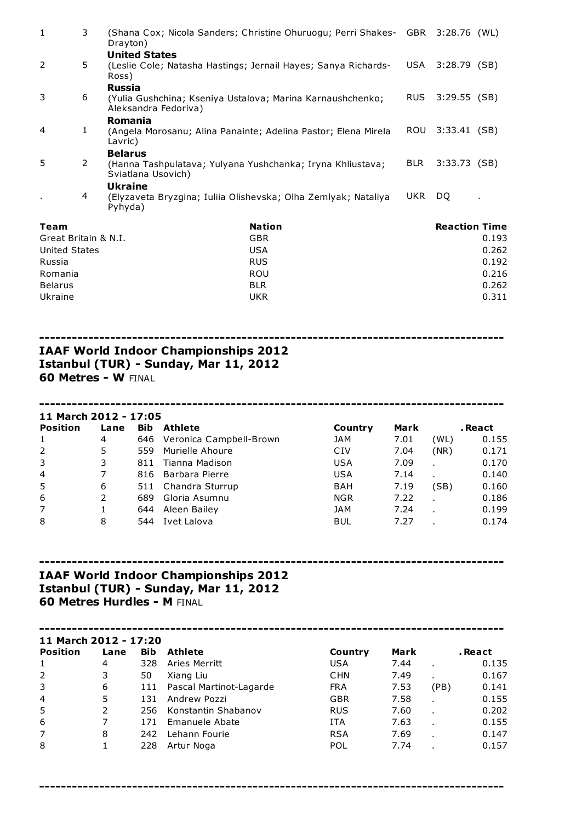| $\mathbf{1}$         | 3              | Drayton)                                                                                            | (Shana Cox; Nicola Sanders; Christine Ohuruogu; Perri Shakes- GBR 3:28.76 (WL) |                |                      |       |
|----------------------|----------------|-----------------------------------------------------------------------------------------------------|--------------------------------------------------------------------------------|----------------|----------------------|-------|
| 2                    | 5              | <b>United States</b><br>(Leslie Cole; Natasha Hastings; Jernail Hayes; Sanya Richards-<br>Ross)     |                                                                                | USA            | 3:28.79              | (SB)  |
| 3                    | 6              | <b>Russia</b><br>(Yulia Gushchina; Kseniya Ustalova; Marina Karnaushchenko;<br>Aleksandra Fedoriva) | RUS.                                                                           | $3:29.55$ (SB) |                      |       |
| 4                    | 1              | Romania<br>(Angela Morosanu; Alina Panainte; Adelina Pastor; Elena Mirela<br>Lavric)                |                                                                                | <b>ROU</b>     | $3:33.41$ (SB)       |       |
| 5                    | $\overline{2}$ | <b>Belarus</b><br>(Hanna Tashpulatava; Yulyana Yushchanka; Iryna Khliustava;<br>Sviatlana Usovich)  |                                                                                | <b>BLR</b>     | 3:33.73              | (SB)  |
|                      | 4              | <b>Ukraine</b><br>(Elyzaveta Bryzgina; Iuliia Olishevska; Olha Zemlyak; Nataliya<br>Pyhyda)         |                                                                                | <b>UKR</b>     | DQ.                  |       |
| Team                 |                |                                                                                                     | <b>Nation</b>                                                                  |                | <b>Reaction Time</b> |       |
| Great Britain & N.I. |                |                                                                                                     | <b>GBR</b>                                                                     |                |                      | 0.193 |
| United States        |                |                                                                                                     | <b>USA</b>                                                                     |                |                      | 0.262 |
| Russia               |                |                                                                                                     | <b>RUS</b>                                                                     |                |                      | 0.192 |
| Romania              |                |                                                                                                     | <b>ROU</b>                                                                     |                |                      | 0.216 |
| <b>Belarus</b>       |                |                                                                                                     | <b>BLR</b>                                                                     |                |                      | 0.262 |

Ukraine UKR 0.311

# -------------------------------------------------------------------------------------

#### IAAF World Indoor Championships 2012 Istanbul (TUR) - Sunday, Mar 11, 2012 60 Metres - W FINAL

#### 11 March 2012 - 17:05

| <b>Position</b> | Lane | Bib | Athlete                 | Country    | Mark |      | . React |
|-----------------|------|-----|-------------------------|------------|------|------|---------|
| 1               | 4    | 646 | Veronica Campbell-Brown | JAM        | 7.01 | (WL) | 0.155   |
| 2               | 5    | 559 | Murielle Ahoure         | CIV        | 7.04 | (NR) | 0.171   |
| 3               | 3    | 811 | Tianna Madison          | <b>USA</b> | 7.09 |      | 0.170   |
| $\overline{4}$  | 7    | 816 | Barbara Pierre          | <b>USA</b> | 7.14 |      | 0.140   |
| 5               | 6    |     | 511 Chandra Sturrup     | BAH        | 7.19 | (SB) | 0.160   |
| 6               | 2    | 689 | Gloria Asumnu           | <b>NGR</b> | 7.22 |      | 0.186   |
| $\overline{7}$  |      | 644 | Aleen Bailey            | <b>JAM</b> | 7.24 |      | 0.199   |
| 8               | 8    | 544 | Ivet Lalova             | <b>BUL</b> | 7.27 |      | 0.174   |

-------------------------------------------------------------------------------------

-------------------------------------------------------------------------------------

# IAAF World Indoor Championships 2012 Istanbul (TUR) - Sunday, Mar 11, 2012 60 Metres Hurdles - M FINAL

#### ------------------------------------------------------------------------------------- 11 March 2012 - 17:20 **Position Lane Bib Athlete Country Mark** . React **1 4** 328 Aries Merritt **COUNTY** USA 7.44 . 0.1 1 4 328 Aries Merritt USA 7.44 . 0.135 2 3 50 Xiang Liu CHN 7.49 . 0.167 3 6 111 Pascal Martinot-Lagarde FRA 7.53 (PB) 0.141 4 5 131 Andrew Pozzi GBR 7.58 . 0.155 5 2 256 Konstantin Shabanov RUS 7.60 . 0.202 6 7 171 Emanuele Abate ITA 7.63 . 0.155 7 8 242 Lehann Fourie RSA 7.69 . 0.147 8 1 228 Artur Noga POL 7.74 . 0.157

-------------------------------------------------------------------------------------